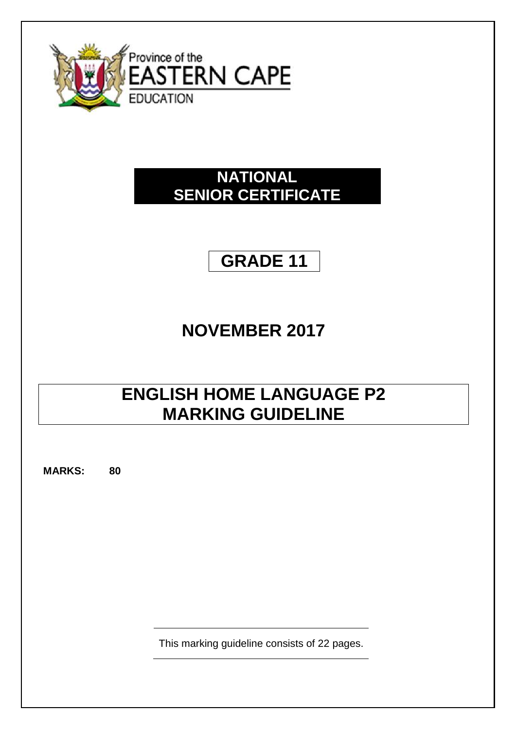

## **NATIONAL SENIOR CERTIFICATE**

# **GRADE 11**

## **NOVEMBER 2017**

## **ENGLISH HOME LANGUAGE P2 MARKING GUIDELINE**

**MARKS: 80**

This marking guideline consists of 22 pages.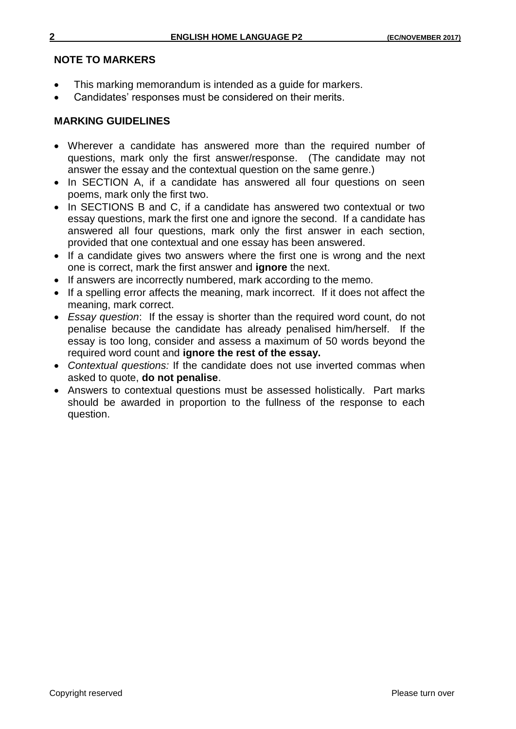### **NOTE TO MARKERS**

- This marking memorandum is intended as a guide for markers.
- Candidates' responses must be considered on their merits.

## **MARKING GUIDELINES**

- Wherever a candidate has answered more than the required number of questions, mark only the first answer/response. (The candidate may not answer the essay and the contextual question on the same genre.)
- In SECTION A, if a candidate has answered all four questions on seen poems, mark only the first two.
- In SECTIONS B and C, if a candidate has answered two contextual or two essay questions, mark the first one and ignore the second. If a candidate has answered all four questions, mark only the first answer in each section, provided that one contextual and one essay has been answered.
- If a candidate gives two answers where the first one is wrong and the next one is correct, mark the first answer and **ignore** the next.
- If answers are incorrectly numbered, mark according to the memo.
- If a spelling error affects the meaning, mark incorrect. If it does not affect the meaning, mark correct.
- *Essay question*: If the essay is shorter than the required word count, do not penalise because the candidate has already penalised him/herself. If the essay is too long, consider and assess a maximum of 50 words beyond the required word count and **ignore the rest of the essay.**
- *Contextual questions:* If the candidate does not use inverted commas when asked to quote, **do not penalise**.
- Answers to contextual questions must be assessed holistically. Part marks should be awarded in proportion to the fullness of the response to each question.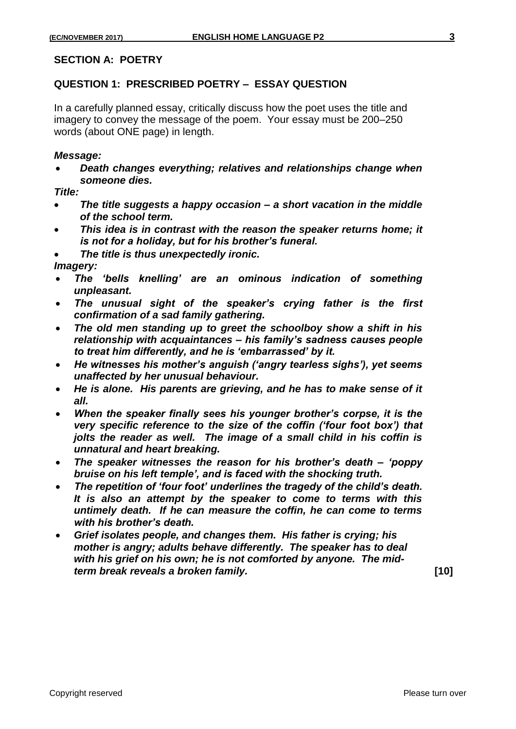#### **SECTION A: POETRY**

#### **QUESTION 1: PRESCRIBED POETRY – ESSAY QUESTION**

In a carefully planned essay, critically discuss how the poet uses the title and imagery to convey the message of the poem. Your essay must be 200–250 words (about ONE page) in length.

#### *Message:*

 *Death changes everything; relatives and relationships change when someone dies.*

*Title:*

- *The title suggests a happy occasion – a short vacation in the middle of the school term.*
- *This idea is in contrast with the reason the speaker returns home; it is not for a holiday, but for his brother's funeral.*
- *The title is thus unexpectedly ironic.*

*Imagery:* 

- *The 'bells knelling' are an ominous indication of something unpleasant.*
- *The unusual sight of the speaker's crying father is the first confirmation of a sad family gathering.*
- *The old men standing up to greet the schoolboy show a shift in his relationship with acquaintances – his family's sadness causes people to treat him differently, and he is 'embarrassed' by it.*
- *He witnesses his mother's anguish ('angry tearless sighs'), yet seems unaffected by her unusual behaviour.*
- *He is alone. His parents are grieving, and he has to make sense of it all.*
- *When the speaker finally sees his younger brother's corpse, it is the very specific reference to the size of the coffin ('four foot box') that jolts the reader as well. The image of a small child in his coffin is unnatural and heart breaking.*
- *The speaker witnesses the reason for his brother's death – 'poppy bruise on his left temple', and is faced with the shocking truth.*
- *The repetition of 'four foot' underlines the tragedy of the child's death. It is also an attempt by the speaker to come to terms with this untimely death. If he can measure the coffin, he can come to terms with his brother's death.*
- *Grief isolates people, and changes them. His father is crying; his mother is angry; adults behave differently. The speaker has to deal with his grief on his own; he is not comforted by anyone. The midterm break reveals a broken family.* **[10]**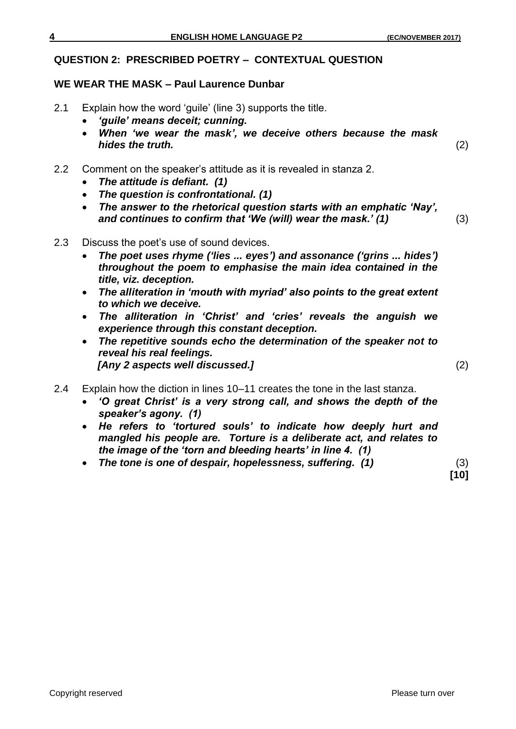#### **QUESTION 2: PRESCRIBED POETRY – CONTEXTUAL QUESTION**

#### **WE WEAR THE MASK – Paul Laurence Dunbar**

- 2.1 Explain how the word 'guile' (line 3) supports the title.
	- *'guile' means deceit; cunning.*
	- *When 'we wear the mask', we deceive others because the mask hides the truth.* (2)
- 2.2 Comment on the speaker's attitude as it is revealed in stanza 2.
	- *The attitude is defiant. (1)*
	- *The question is confrontational. (1)*
	- *The answer to the rhetorical question starts with an emphatic 'Nay', and continues to confirm that 'We (will) wear the mask.' (1)* (3)
- 2.3 Discuss the poet's use of sound devices.
	- *The poet uses rhyme ('lies ... eyes') and assonance ('grins ... hides') throughout the poem to emphasise the main idea contained in the title, viz. deception.*
	- *The alliteration in 'mouth with myriad' also points to the great extent to which we deceive.*
	- *The alliteration in 'Christ' and 'cries' reveals the anguish we experience through this constant deception.*
	- *The repetitive sounds echo the determination of the speaker not to reveal his real feelings. [Any 2 aspects well discussed.]* (2)
- 2.4 Explain how the diction in lines 10–11 creates the tone in the last stanza.
	- *'O great Christ' is a very strong call, and shows the depth of the speaker's agony. (1)*
	- *He refers to 'tortured souls' to indicate how deeply hurt and mangled his people are. Torture is a deliberate act, and relates to the image of the 'torn and bleeding hearts' in line 4. (1)*
	- *The tone is one of despair, hopelessness, suffering. (1)* (3)

**[10]**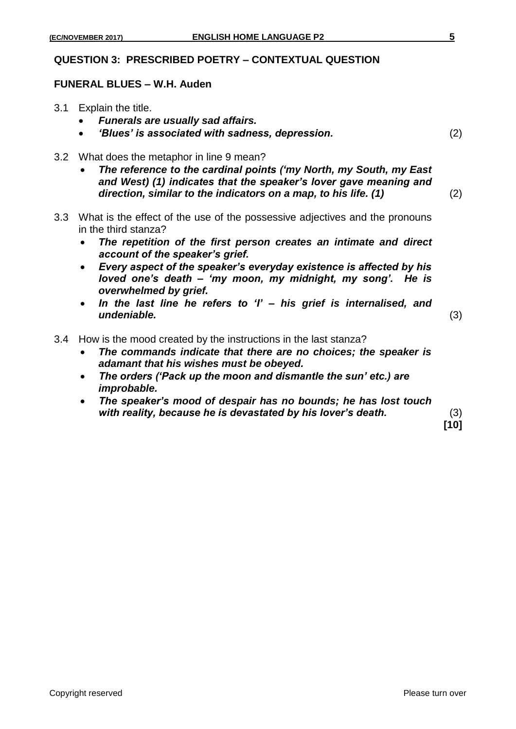#### **QUESTION 3: PRESCRIBED POETRY – CONTEXTUAL QUESTION**

#### **FUNERAL BLUES – W.H. Auden**

- 3.1 Explain the title.
	- *Funerals are usually sad affairs.*
	- *'Blues' is associated with sadness, depression.* (2)
- 3.2 What does the metaphor in line 9 mean?
	- *The reference to the cardinal points ('my North, my South, my East and West) (1) indicates that the speaker's lover gave meaning and direction, similar to the indicators on a map, to his life. (1)* (2)
- 3.3 What is the effect of the use of the possessive adjectives and the pronouns in the third stanza?
	- *The repetition of the first person creates an intimate and direct account of the speaker's grief.*
	- *Every aspect of the speaker's everyday existence is affected by his loved one's death – 'my moon, my midnight, my song'. He is overwhelmed by grief.*
	- *In the last line he refers to 'I' – his grief is internalised, and undeniable.* (3)
		-

- 3.4 How is the mood created by the instructions in the last stanza?
	- *The commands indicate that there are no choices; the speaker is adamant that his wishes must be obeyed.*
	- *The orders ('Pack up the moon and dismantle the sun' etc.) are improbable.*
	- *The speaker's mood of despair has no bounds; he has lost touch with reality, because he is devastated by his lover's death.* (3)

**[10]**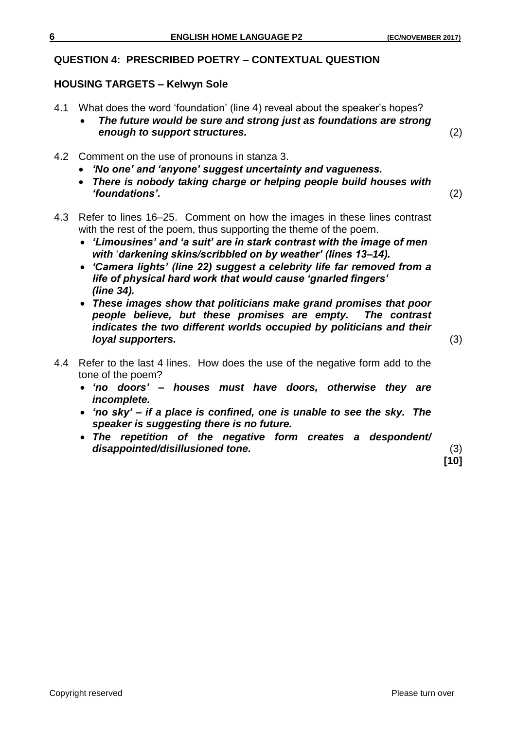## **QUESTION 4: PRESCRIBED POETRY – CONTEXTUAL QUESTION**

## **HOUSING TARGETS – Kelwyn Sole**

- 4.1 What does the word 'foundation' (line 4) reveal about the speaker's hopes?
	- *The future would be sure and strong just as foundations are strong enough to support structures.* (2)
- 4.2 Comment on the use of pronouns in stanza 3.
	- *'No one' and 'anyone' suggest uncertainty and vagueness.*
	- *There is nobody taking charge or helping people build houses with 'foundations'.* (2)
- 4.3 Refer to lines 16–25. Comment on how the images in these lines contrast with the rest of the poem, thus supporting the theme of the poem.
	- *'Limousines' and 'a suit' are in stark contrast with the image of men with* '*darkening skins/scribbled on by weather' (lines 13–14).*
	- *'Camera lights' (line 22) suggest a celebrity life far removed from a life of physical hard work that would cause 'gnarled fingers' (line 34).*
	- *These images show that politicians make grand promises that poor people believe, but these promises are empty. The contrast indicates the two different worlds occupied by politicians and their loyal supporters.* (3)

- 4.4 Refer to the last 4 lines. How does the use of the negative form add to the tone of the poem?
	- *'no doors' – houses must have doors, otherwise they are incomplete.*
	- *'no sky' – if a place is confined, one is unable to see the sky. The speaker is suggesting there is no future.*
	- *The repetition of the negative form creates a despondent/ disappointed/disillusioned tone.* (3)

**[10]**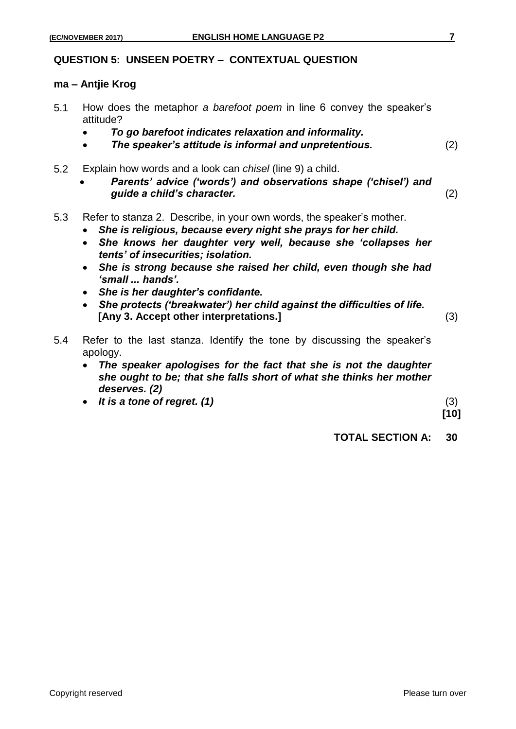#### **QUESTION 5: UNSEEN POETRY – CONTEXTUAL QUESTION**

#### **ma – Antjie Krog**

- 5.1 How does the metaphor *a barefoot poem* in line 6 convey the speaker's attitude?
	- *To go barefoot indicates relaxation and informality.*
	- *The speaker's attitude is informal and unpretentious.* (2)
- 5.2 Explain how words and a look can *chisel* (line 9) a child.
	- *Parents' advice ('words') and observations shape ('chisel') and guide a child's character.* (2)
- 5.3 Refer to stanza 2. Describe, in your own words, the speaker's mother.
	- *She is religious, because every night she prays for her child.*
	- *She knows her daughter very well, because she 'collapses her tents' of insecurities; isolation.*
	- *She is strong because she raised her child, even though she had 'small ... hands'.*
	- *She is her daughter's confidante.*
	- *She protects ('breakwater') her child against the difficulties of life.* **[Any 3. Accept other interpretations.]**(3)
		-
- 5.4 Refer to the last stanza. Identify the tone by discussing the speaker's apology.
	- *The speaker apologises for the fact that she is not the daughter she ought to be; that she falls short of what she thinks her mother deserves. (2)*
	- It is a tone of regret. (1) (3)

**[10]**

**TOTAL SECTION A: 30**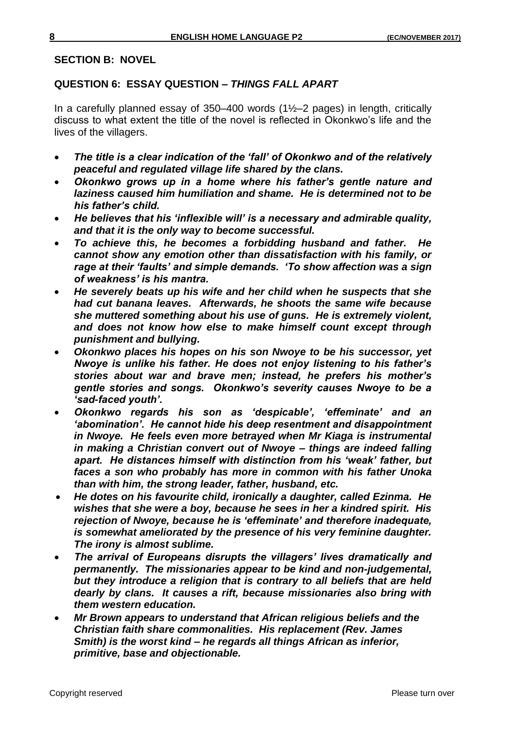#### **SECTION B: NOVEL**

### **QUESTION 6: ESSAY QUESTION –** *THINGS FALL APART*

In a carefully planned essay of  $350-400$  words  $(1\frac{1}{2}-2)$  pages) in length, critically discuss to what extent the title of the novel is reflected in Okonkwo's life and the lives of the villagers.

- *The title is a clear indication of the 'fall' of Okonkwo and of the relatively peaceful and regulated village life shared by the clans.*
- *Okonkwo grows up in a home where his father's gentle nature and laziness caused him humiliation and shame. He is determined not to be his father's child.*
- *He believes that his 'inflexible will' is a necessary and admirable quality, and that it is the only way to become successful.*
- *To achieve this, he becomes a forbidding husband and father. He cannot show any emotion other than dissatisfaction with his family, or rage at their 'faults' and simple demands. 'To show affection was a sign of weakness' is his mantra.*
- *He severely beats up his wife and her child when he suspects that she had cut banana leaves. Afterwards, he shoots the same wife because she muttered something about his use of guns. He is extremely violent, and does not know how else to make himself count except through punishment and bullying.*
- *Okonkwo places his hopes on his son Nwoye to be his successor, yet Nwoye is unlike his father. He does not enjoy listening to his father's stories about war and brave men; instead, he prefers his mother's gentle stories and songs. Okonkwo's severity causes Nwoye to be a 'sad-faced youth'.*
- *Okonkwo regards his son as 'despicable', 'effeminate' and an 'abomination'. He cannot hide his deep resentment and disappointment in Nwoye. He feels even more betrayed when Mr Kiaga is instrumental in making a Christian convert out of Nwoye – things are indeed falling apart. He distances himself with distinction from his 'weak' father, but faces a son who probably has more in common with his father Unoka than with him, the strong leader, father, husband, etc.*
- *He dotes on his favourite child, ironically a daughter, called Ezinma. He wishes that she were a boy, because he sees in her a kindred spirit. His rejection of Nwoye, because he is 'effeminate' and therefore inadequate, is somewhat ameliorated by the presence of his very feminine daughter. The irony is almost sublime.*
- *The arrival of Europeans disrupts the villagers' lives dramatically and permanently. The missionaries appear to be kind and non-judgemental, but they introduce a religion that is contrary to all beliefs that are held dearly by clans. It causes a rift, because missionaries also bring with them western education.*
- *Mr Brown appears to understand that African religious beliefs and the Christian faith share commonalities. His replacement (Rev. James Smith) is the worst kind – he regards all things African as inferior, primitive, base and objectionable.*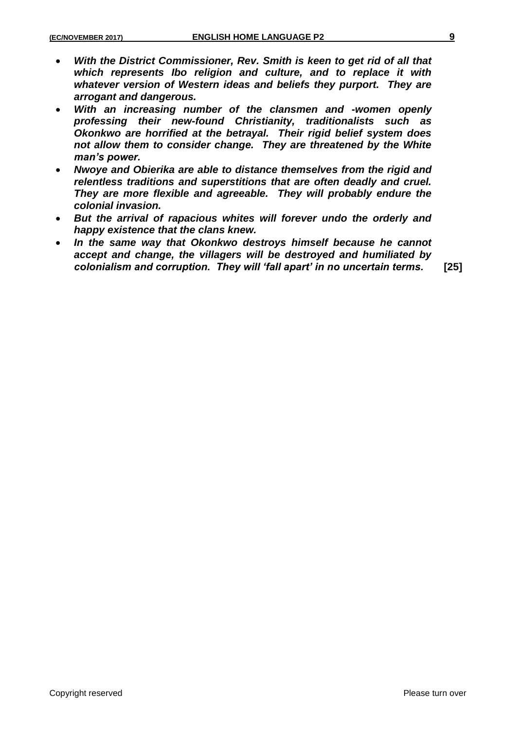- *With the District Commissioner, Rev. Smith is keen to get rid of all that which represents Ibo religion and culture, and to replace it with whatever version of Western ideas and beliefs they purport. They are arrogant and dangerous.*
- *With an increasing number of the clansmen and -women openly professing their new-found Christianity, traditionalists such as Okonkwo are horrified at the betrayal. Their rigid belief system does not allow them to consider change. They are threatened by the White man's power.*
- *Nwoye and Obierika are able to distance themselves from the rigid and relentless traditions and superstitions that are often deadly and cruel. They are more flexible and agreeable. They will probably endure the colonial invasion.*
- *But the arrival of rapacious whites will forever undo the orderly and happy existence that the clans knew.*
- *In the same way that Okonkwo destroys himself because he cannot accept and change, the villagers will be destroyed and humiliated by colonialism and corruption. They will 'fall apart' in no uncertain terms.* **[25]**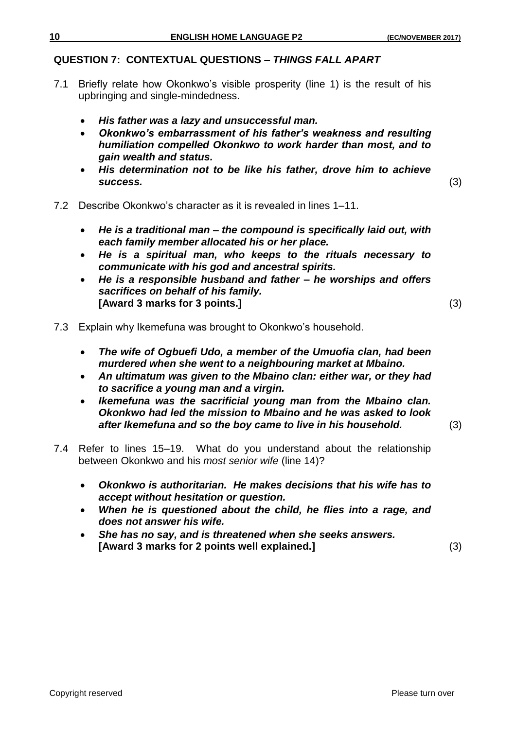## **QUESTION 7: CONTEXTUAL QUESTIONS –** *THINGS FALL APART*

- 7.1 Briefly relate how Okonkwo's visible prosperity (line 1) is the result of his upbringing and single-mindedness.
	- *His father was a lazy and unsuccessful man.*
	- *Okonkwo's embarrassment of his father's weakness and resulting humiliation compelled Okonkwo to work harder than most, and to gain wealth and status.*
	- *His determination not to be like his father, drove him to achieve success.* (3)
- 7.2 Describe Okonkwo's character as it is revealed in lines 1–11.
	- *He is a traditional man – the compound is specifically laid out, with each family member allocated his or her place.*
	- *He is a spiritual man, who keeps to the rituals necessary to communicate with his god and ancestral spirits.*
	- *He is a responsible husband and father – he worships and offers sacrifices on behalf of his family.* **[Award 3 marks for 3 points.]** (3)
		-

- 7.3 Explain why Ikemefuna was brought to Okonkwo's household.
	- *The wife of Ogbuefi Udo, a member of the Umuofia clan, had been murdered when she went to a neighbouring market at Mbaino.*
	- *An ultimatum was given to the Mbaino clan: either war, or they had to sacrifice a young man and a virgin.*
	- *Ikemefuna was the sacrificial young man from the Mbaino clan. Okonkwo had led the mission to Mbaino and he was asked to look after Ikemefuna and so the boy came to live in his household.* (3)
- 7.4 Refer to lines 15–19. What do you understand about the relationship between Okonkwo and his *most senior wife* (line 14)?
	- *Okonkwo is authoritarian. He makes decisions that his wife has to accept without hesitation or question.*
	- *When he is questioned about the child, he flies into a rage, and does not answer his wife.*
	- *She has no say, and is threatened when she seeks answers.* **[Award 3 marks for 2 points well explained.]** (3)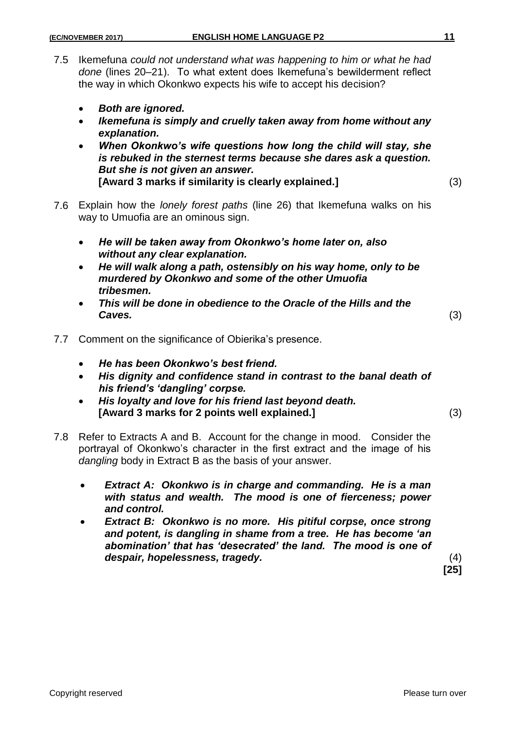- 7.5 Ikemefuna *could not understand what was happening to him or what he had done* (lines 20–21). To what extent does Ikemefuna's bewilderment reflect the way in which Okonkwo expects his wife to accept his decision?
	- *Both are ignored.*
	- *Ikemefuna is simply and cruelly taken away from home without any explanation.*
	- *When Okonkwo's wife questions how long the child will stay, she is rebuked in the sternest terms because she dares ask a question. But she is not given an answer.* **[Award 3 marks if similarity is clearly explained.]** (3)
- 7.6 Explain how the *lonely forest paths* (line 26) that Ikemefuna walks on his way to Umuofia are an ominous sign.
	- *He will be taken away from Okonkwo's home later on, also without any clear explanation.*
	- *He will walk along a path, ostensibly on his way home, only to be murdered by Okonkwo and some of the other Umuofia tribesmen.*
	- *This will be done in obedience to the Oracle of the Hills and the Caves.* (3)

- 7.7 Comment on the significance of Obierika's presence.
	- *He has been Okonkwo's best friend.*
	- *His dignity and confidence stand in contrast to the banal death of his friend's 'dangling' corpse.*
	- *His loyalty and love for his friend last beyond death.* **[Award 3 marks for 2 points well explained.]** (3)
- 7.8 Refer to Extracts A and B. Account for the change in mood. Consider the portrayal of Okonkwo's character in the first extract and the image of his *dangling* body in Extract B as the basis of your answer.
	- *Extract A: Okonkwo is in charge and commanding. He is a man with status and wealth. The mood is one of fierceness; power and control.*
	- *Extract B: Okonkwo is no more. His pitiful corpse, once strong and potent, is dangling in shame from a tree. He has become 'an abomination' that has 'desecrated' the land. The mood is one of despair, hopelessness, tragedy.* (4)

**[25]**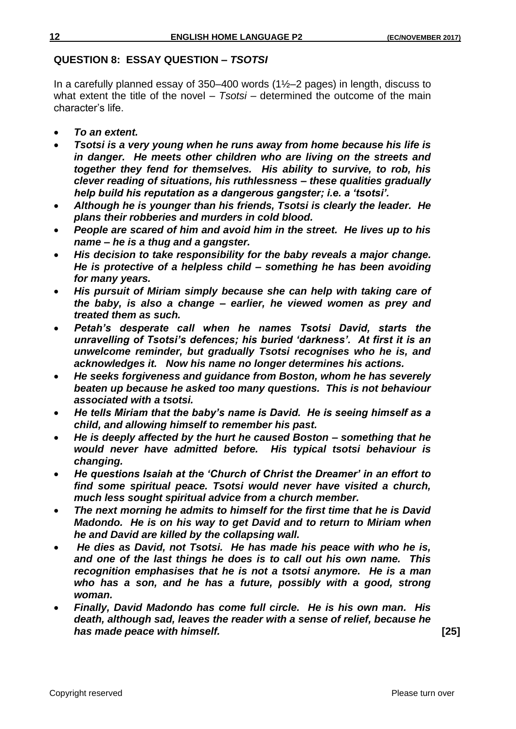#### **QUESTION 8: ESSAY QUESTION –** *TSOTSI*

In a carefully planned essay of 350–400 words  $(1\text{\textdegree}-2)$  pages) in length, discuss to what extent the title of the novel – *Tsotsi* – determined the outcome of the main character's life.

- *To an extent.*
- *Tsotsi is a very young when he runs away from home because his life is in danger. He meets other children who are living on the streets and together they fend for themselves. His ability to survive, to rob, his clever reading of situations, his ruthlessness – these qualities gradually help build his reputation as a dangerous gangster; i.e. a 'tsotsi'.*
- *Although he is younger than his friends, Tsotsi is clearly the leader. He plans their robberies and murders in cold blood.*
- *People are scared of him and avoid him in the street. He lives up to his name – he is a thug and a gangster.*
- *His decision to take responsibility for the baby reveals a major change. He is protective of a helpless child – something he has been avoiding for many years.*
- *His pursuit of Miriam simply because she can help with taking care of the baby, is also a change – earlier, he viewed women as prey and treated them as such.*
- *Petah's desperate call when he names Tsotsi David, starts the unravelling of Tsotsi's defences; his buried 'darkness'. At first it is an unwelcome reminder, but gradually Tsotsi recognises who he is, and acknowledges it. Now his name no longer determines his actions.*
- *He seeks forgiveness and guidance from Boston, whom he has severely beaten up because he asked too many questions. This is not behaviour associated with a tsotsi.*
- *He tells Miriam that the baby's name is David. He is seeing himself as a child, and allowing himself to remember his past.*
- *He is deeply affected by the hurt he caused Boston – something that he would never have admitted before. His typical tsotsi behaviour is changing.*
- *He questions Isaiah at the 'Church of Christ the Dreamer' in an effort to find some spiritual peace. Tsotsi would never have visited a church, much less sought spiritual advice from a church member.*
- *The next morning he admits to himself for the first time that he is David Madondo. He is on his way to get David and to return to Miriam when he and David are killed by the collapsing wall.*
- *He dies as David, not Tsotsi. He has made his peace with who he is, and one of the last things he does is to call out his own name. This recognition emphasises that he is not a tsotsi anymore. He is a man who has a son, and he has a future, possibly with a good, strong woman.*
- *Finally, David Madondo has come full circle. He is his own man. His death, although sad, leaves the reader with a sense of relief, because he has made peace with himself.* **[25]**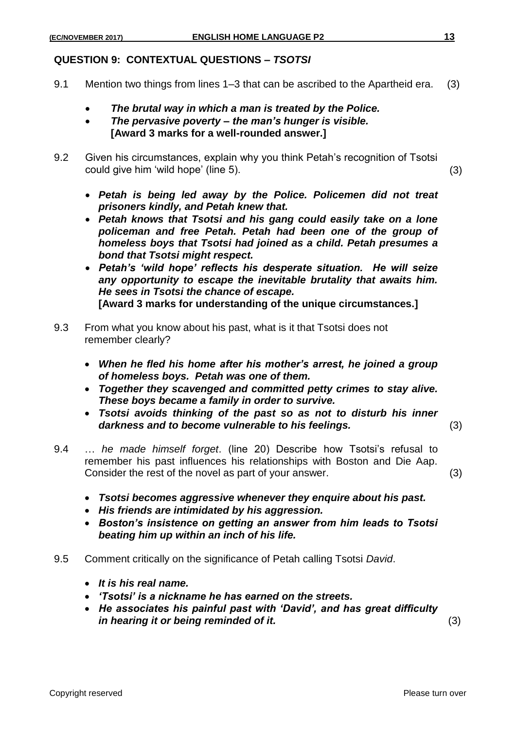## **QUESTION 9: CONTEXTUAL QUESTIONS –** *TSOTSI*

- 9.1 Mention two things from lines 1–3 that can be ascribed to the Apartheid era. (3)
	- *The brutal way in which a man is treated by the Police.*
	- *The pervasive poverty – the man's hunger is visible.* **[Award 3 marks for a well-rounded answer.]**
- 9.2 Given his circumstances, explain why you think Petah's recognition of Tsotsi could give him 'wild hope' (line 5). (3)
	- *Petah is being led away by the Police. Policemen did not treat prisoners kindly, and Petah knew that.*
	- *Petah knows that Tsotsi and his gang could easily take on a lone policeman and free Petah. Petah had been one of the group of homeless boys that Tsotsi had joined as a child. Petah presumes a bond that Tsotsi might respect.*
	- *Petah's 'wild hope' reflects his desperate situation. He will seize any opportunity to escape the inevitable brutality that awaits him. He sees in Tsotsi the chance of escape.* **[Award 3 marks for understanding of the unique circumstances.]**
- 9.3 From what you know about his past, what is it that Tsotsi does not remember clearly?
	- *When he fled his home after his mother's arrest, he joined a group of homeless boys. Petah was one of them.*
	- *Together they scavenged and committed petty crimes to stay alive. These boys became a family in order to survive.*
	- *Tsotsi avoids thinking of the past so as not to disturb his inner darkness and to become vulnerable to his feelings.* (3)
- 9.4 … *he made himself forget*. (line 20) Describe how Tsotsi's refusal to remember his past influences his relationships with Boston and Die Aap. Consider the rest of the novel as part of your answer. (3)
	- *Tsotsi becomes aggressive whenever they enquire about his past.*
	- *His friends are intimidated by his aggression.*
	- *Boston's insistence on getting an answer from him leads to Tsotsi beating him up within an inch of his life.*
- 9.5 Comment critically on the significance of Petah calling Tsotsi *David*.
	- *It is his real name.*
	- *'Tsotsi' is a nickname he has earned on the streets.*
	- *He associates his painful past with 'David', and has great difficulty in hearing it or being reminded of it.* (3)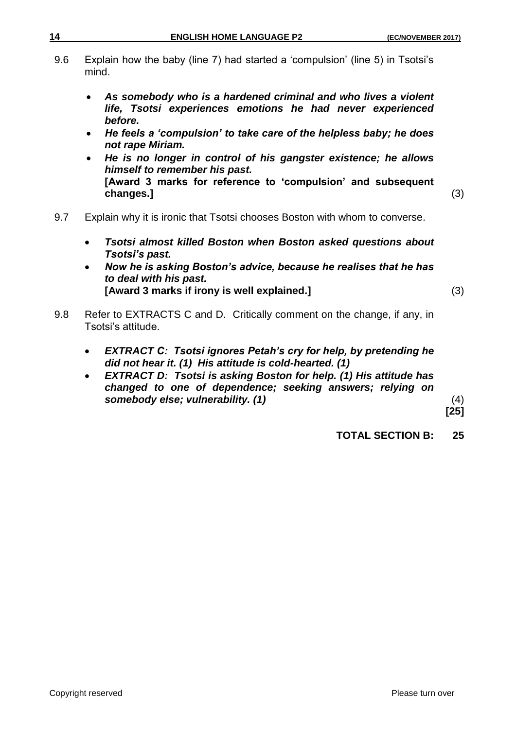- 9.6 Explain how the baby (line 7) had started a 'compulsion' (line 5) in Tsotsi's mind.
	- *As somebody who is a hardened criminal and who lives a violent life, Tsotsi experiences emotions he had never experienced before.*
	- *He feels a 'compulsion' to take care of the helpless baby; he does not rape Miriam.*
	- *He is no longer in control of his gangster existence; he allows himself to remember his past.* **[Award 3 marks for reference to 'compulsion' and subsequent changes.]** (3)
- 9.7 Explain why it is ironic that Tsotsi chooses Boston with whom to converse.
	- *Tsotsi almost killed Boston when Boston asked questions about Tsotsi's past.*
	- *Now he is asking Boston's advice, because he realises that he has to deal with his past.* **[Award 3 marks if irony is well explained.]** (3)
- 9.8 Refer to EXTRACTS C and D. Critically comment on the change, if any, in Tsotsi's attitude.
	- *EXTRACT C: Tsotsi ignores Petah's cry for help, by pretending he did not hear it. (1) His attitude is cold-hearted. (1)*
	- *EXTRACT D: Tsotsi is asking Boston for help. (1) His attitude has changed to one of dependence; seeking answers; relying on somebody else; vulnerability. (1)* (4)

**[25]**

**TOTAL SECTION B: 25**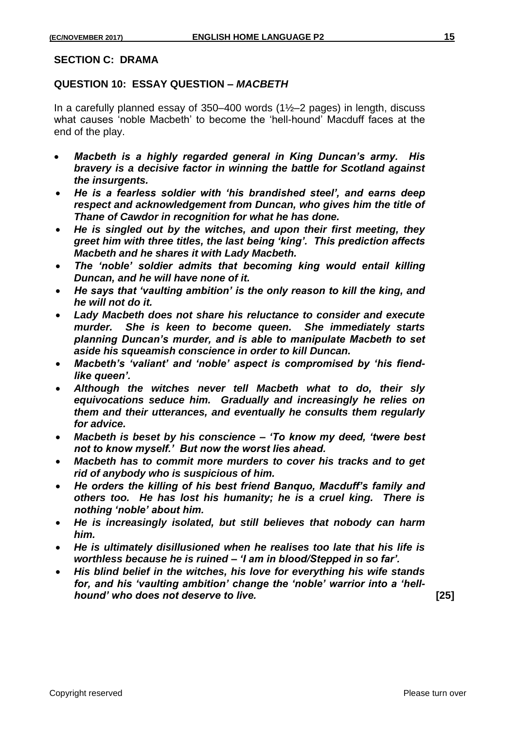#### **SECTION C: DRAMA**

## **QUESTION 10: ESSAY QUESTION –** *MACBETH*

In a carefully planned essay of 350–400 words (1½–2 pages) in length, discuss what causes 'noble Macbeth' to become the 'hell-hound' Macduff faces at the end of the play.

- *Macbeth is a highly regarded general in King Duncan's army. His bravery is a decisive factor in winning the battle for Scotland against the insurgents.*
- *He is a fearless soldier with 'his brandished steel', and earns deep respect and acknowledgement from Duncan, who gives him the title of Thane of Cawdor in recognition for what he has done.*
- *He is singled out by the witches, and upon their first meeting, they greet him with three titles, the last being 'king'. This prediction affects Macbeth and he shares it with Lady Macbeth.*
- *The 'noble' soldier admits that becoming king would entail killing Duncan, and he will have none of it.*
- *He says that 'vaulting ambition' is the only reason to kill the king, and he will not do it.*
- *Lady Macbeth does not share his reluctance to consider and execute murder. She is keen to become queen. She immediately starts planning Duncan's murder, and is able to manipulate Macbeth to set aside his squeamish conscience in order to kill Duncan.*
- *Macbeth's 'valiant' and 'noble' aspect is compromised by 'his fiendlike queen'.*
- *Although the witches never tell Macbeth what to do, their sly equivocations seduce him. Gradually and increasingly he relies on them and their utterances, and eventually he consults them regularly for advice.*
- *Macbeth is beset by his conscience – 'To know my deed, 'twere best not to know myself.' But now the worst lies ahead.*
- *Macbeth has to commit more murders to cover his tracks and to get rid of anybody who is suspicious of him.*
- *He orders the killing of his best friend Banquo, Macduff's family and others too. He has lost his humanity; he is a cruel king. There is nothing 'noble' about him.*
- *He is increasingly isolated, but still believes that nobody can harm him.*
- *He is ultimately disillusioned when he realises too late that his life is worthless because he is ruined – 'I am in blood/Stepped in so far'.*
- *His blind belief in the witches, his love for everything his wife stands for, and his 'vaulting ambition' change the 'noble' warrior into a 'hellhound' who does not deserve to live.* **[25]**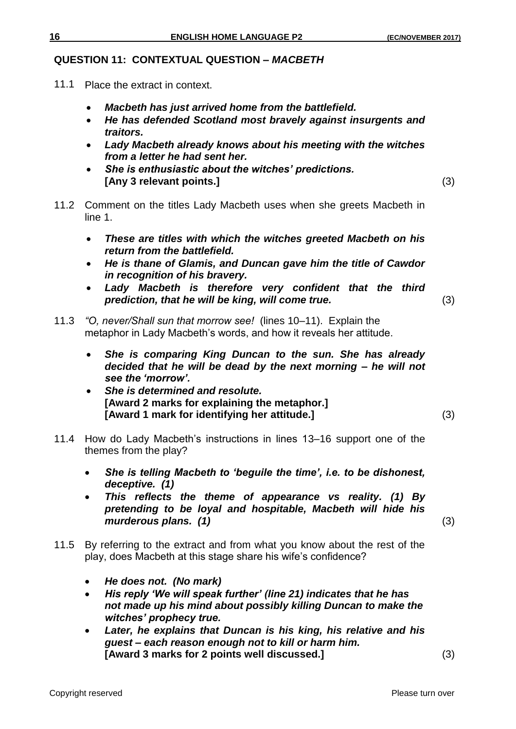## **QUESTION 11: CONTEXTUAL QUESTION –** *MACBETH*

- 11.1 Place the extract in context.
	- *Macbeth has just arrived home from the battlefield.*
	- *He has defended Scotland most bravely against insurgents and traitors.*
	- *Lady Macbeth already knows about his meeting with the witches from a letter he had sent her.*
	- *She is enthusiastic about the witches' predictions.* **[Any 3 relevant points.]** (3)
		-
- 11.2 Comment on the titles Lady Macbeth uses when she greets Macbeth in line 1.
	- *These are titles with which the witches greeted Macbeth on his return from the battlefield.*
	- *He is thane of Glamis, and Duncan gave him the title of Cawdor in recognition of his bravery.*
	- *Lady Macbeth is therefore very confident that the third prediction, that he will be king, will come true.* (3)
- 11.3 *"O, never/Shall sun that morrow see!* (lines 10–11). Explain the metaphor in Lady Macbeth's words, and how it reveals her attitude.
	- *She is comparing King Duncan to the sun. She has already decided that he will be dead by the next morning – he will not see the 'morrow'.*
	- *She is determined and resolute.*  **[Award 2 marks for explaining the metaphor.] [Award 1 mark for identifying her attitude.]** (3)

- 11.4 How do Lady Macbeth's instructions in lines 13–16 support one of the themes from the play?
	- *She is telling Macbeth to 'beguile the time', i.e. to be dishonest, deceptive. (1)*
	- *This reflects the theme of appearance vs reality. (1) By pretending to be loyal and hospitable, Macbeth will hide his murderous plans.* (1) (3)
- 11.5 By referring to the extract and from what you know about the rest of the play, does Macbeth at this stage share his wife's confidence?
	- *He does not. (No mark)*
	- *His reply 'We will speak further' (line 21) indicates that he has not made up his mind about possibly killing Duncan to make the witches' prophecy true.*
	- *Later, he explains that Duncan is his king, his relative and his guest – each reason enough not to kill or harm him.* **[Award 3 marks for 2 points well discussed.]** (3)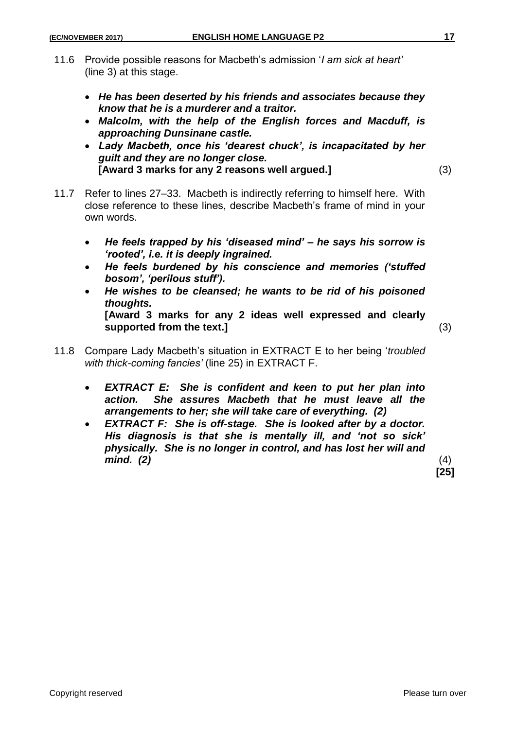- 11.6 Provide possible reasons for Macbeth's admission '*I am sick at heart'*  (line 3) at this stage.
	- *He has been deserted by his friends and associates because they know that he is a murderer and a traitor.*
	- *Malcolm, with the help of the English forces and Macduff, is approaching Dunsinane castle.*
	- *Lady Macbeth, once his 'dearest chuck', is incapacitated by her guilt and they are no longer close.* **[Award 3 marks for any 2 reasons well argued.]** (3)
- 11.7 Refer to lines 27–33. Macbeth is indirectly referring to himself here. With close reference to these lines, describe Macbeth's frame of mind in your own words.
	- *He feels trapped by his 'diseased mind' – he says his sorrow is 'rooted', i.e. it is deeply ingrained.*
	- *He feels burdened by his conscience and memories ('stuffed bosom', 'perilous stuff').*
	- *He wishes to be cleansed; he wants to be rid of his poisoned thoughts.* **[Award 3 marks for any 2 ideas well expressed and clearly supported from the text.]** (3)

- 11.8 Compare Lady Macbeth's situation in EXTRACT E to her being '*troubled with thick-coming fancies'* (line 25) in EXTRACT F.
	- *EXTRACT E: She is confident and keen to put her plan into action. She assures Macbeth that he must leave all the arrangements to her; she will take care of everything. (2)*
	- *EXTRACT F: She is off-stage. She is looked after by a doctor. His diagnosis is that she is mentally ill, and 'not so sick' physically. She is no longer in control, and has lost her will and mind. (2)* (4)

**[25]**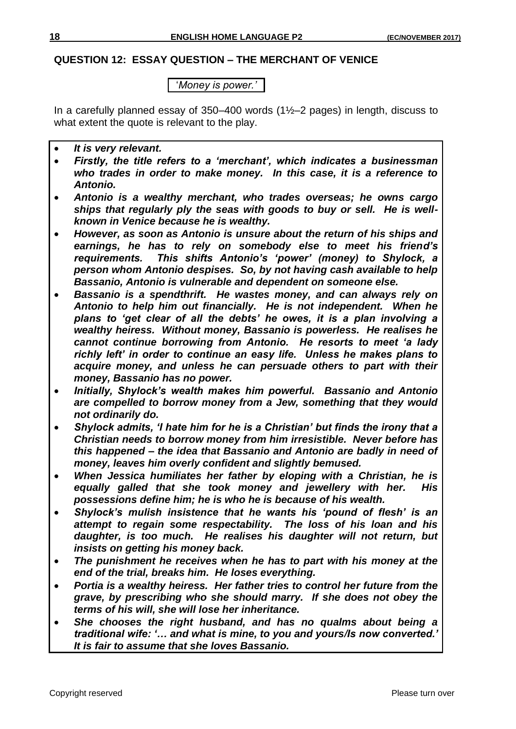#### **QUESTION 12: ESSAY QUESTION – THE MERCHANT OF VENICE**

'*Money is power.'*

In a carefully planned essay of  $350-400$  words  $(1\text{\textdegree}-2)$  pages) in length, discuss to what extent the quote is relevant to the play.

- *It is very relevant.*
- *Firstly, the title refers to a 'merchant', which indicates a businessman who trades in order to make money. In this case, it is a reference to Antonio.*
- *Antonio is a wealthy merchant, who trades overseas; he owns cargo ships that regularly ply the seas with goods to buy or sell. He is wellknown in Venice because he is wealthy.*
- *However, as soon as Antonio is unsure about the return of his ships and earnings, he has to rely on somebody else to meet his friend's requirements. This shifts Antonio's 'power' (money) to Shylock, a person whom Antonio despises. So, by not having cash available to help Bassanio, Antonio is vulnerable and dependent on someone else.*
- *Bassanio is a spendthrift. He wastes money, and can always rely on Antonio to help him out financially. He is not independent. When he plans to 'get clear of all the debts' he owes, it is a plan involving a wealthy heiress. Without money, Bassanio is powerless. He realises he cannot continue borrowing from Antonio. He resorts to meet 'a lady richly left' in order to continue an easy life. Unless he makes plans to acquire money, and unless he can persuade others to part with their money, Bassanio has no power.*
- *Initially, Shylock's wealth makes him powerful. Bassanio and Antonio are compelled to borrow money from a Jew, something that they would not ordinarily do.*
- *Shylock admits, 'I hate him for he is a Christian' but finds the irony that a Christian needs to borrow money from him irresistible. Never before has this happened – the idea that Bassanio and Antonio are badly in need of money, leaves him overly confident and slightly bemused.*
- *When Jessica humiliates her father by eloping with a Christian, he is equally galled that she took money and jewellery with her. His possessions define him; he is who he is because of his wealth.*
- *Shylock's mulish insistence that he wants his 'pound of flesh' is an attempt to regain some respectability. The loss of his loan and his daughter, is too much. He realises his daughter will not return, but insists on getting his money back.*
- *The punishment he receives when he has to part with his money at the end of the trial, breaks him. He loses everything.*
- *Portia is a wealthy heiress. Her father tries to control her future from the grave, by prescribing who she should marry. If she does not obey the terms of his will, she will lose her inheritance.*
- *She chooses the right husband, and has no qualms about being a traditional wife: '… and what is mine, to you and yours/Is now converted.' It is fair to assume that she loves Bassanio.*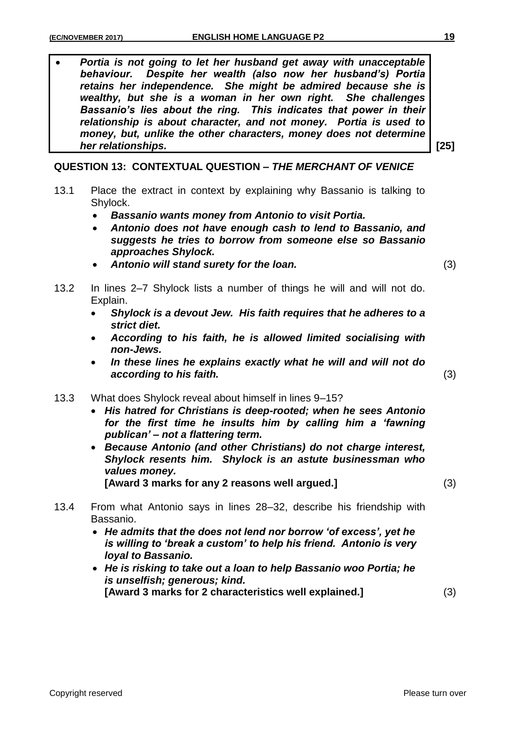*Portia is not going to let her husband get away with unacceptable behaviour. Despite her wealth (also now her husband's) Portia retains her independence. She might be admired because she is wealthy, but she is a woman in her own right. She challenges Bassanio's lies about the ring. This indicates that power in their relationship is about character, and not money. Portia is used to money, but, unlike the other characters, money does not determine her relationships.* **[25]**

## **QUESTION 13: CONTEXTUAL QUESTION –** *THE MERCHANT OF VENICE*

- 13.1 Place the extract in context by explaining why Bassanio is talking to Shylock.
	- *Bassanio wants money from Antonio to visit Portia.*
	- *Antonio does not have enough cash to lend to Bassanio, and suggests he tries to borrow from someone else so Bassanio approaches Shylock.*
	- *Antonio will stand surety for the loan.* (3)
- 13.2 In lines 2–7 Shylock lists a number of things he will and will not do. Explain.
	- *Shylock is a devout Jew. His faith requires that he adheres to a strict diet.*
	- *According to his faith, he is allowed limited socialising with non-Jews.*
	- *In these lines he explains exactly what he will and will not do according to his faith.* (3)
- 13.3 What does Shylock reveal about himself in lines 9–15?
	- *His hatred for Christians is deep-rooted; when he sees Antonio for the first time he insults him by calling him a 'fawning publican' – not a flattering term.*
	- *Because Antonio (and other Christians) do not charge interest, Shylock resents him. Shylock is an astute businessman who values money.*

**[Award 3 marks for any 2 reasons well argued.]** (3)

- 13.4 From what Antonio says in lines 28–32, describe his friendship with Bassanio.
	- *He admits that the does not lend nor borrow 'of excess', yet he is willing to 'break a custom' to help his friend. Antonio is very loyal to Bassanio.*
	- *He is risking to take out a loan to help Bassanio woo Portia; he is unselfish; generous; kind.* **[Award 3 marks for 2 characteristics well explained.]** (3)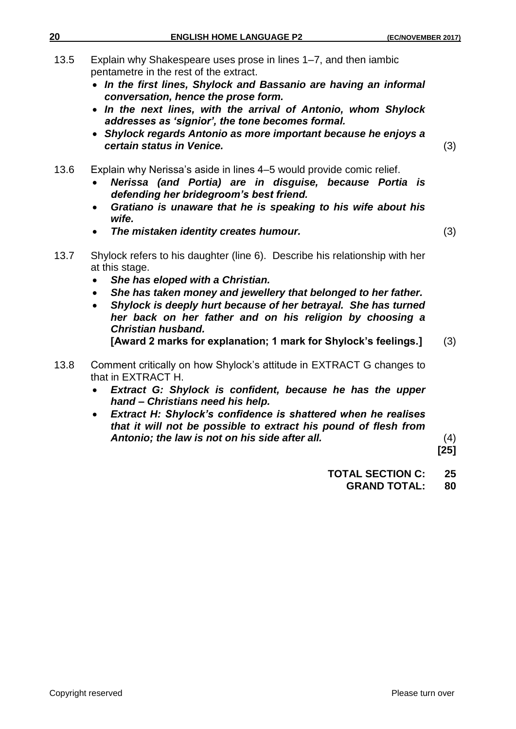- 13.5 Explain why Shakespeare uses prose in lines 1–7, and then iambic pentametre in the rest of the extract.
	- *In the first lines, Shylock and Bassanio are having an informal conversation, hence the prose form.*
	- *In the next lines, with the arrival of Antonio, whom Shylock addresses as 'signior', the tone becomes formal.*
	- *Shylock regards Antonio as more important because he enjoys a certain status in Venice.* (3)
- 13.6 Explain why Nerissa's aside in lines 4–5 would provide comic relief.
	- *Nerissa (and Portia) are in disguise, because Portia is defending her bridegroom's best friend.*
	- *Gratiano is unaware that he is speaking to his wife about his wife.*
	- *The mistaken identity creates humour.* (3)

- 13.7 Shylock refers to his daughter (line 6). Describe his relationship with her at this stage.
	- *She has eloped with a Christian.*
	- *She has taken money and jewellery that belonged to her father.*
	- *Shylock is deeply hurt because of her betrayal. She has turned her back on her father and on his religion by choosing a Christian husband.*

- 13.8 Comment critically on how Shylock's attitude in EXTRACT G changes to that in EXTRACT H.
	- *Extract G: Shylock is confident, because he has the upper hand – Christians need his help.*
	- *Extract H: Shylock's confidence is shattered when he realises that it will not be possible to extract his pound of flesh from Antonio; the law is not on his side after all.* (4)

**[25]**

- **TOTAL SECTION C: 25**
	- **GRAND TOTAL: 80**

**<sup>[</sup>Award 2 marks for explanation; 1 mark for Shylock's feelings.]** (3)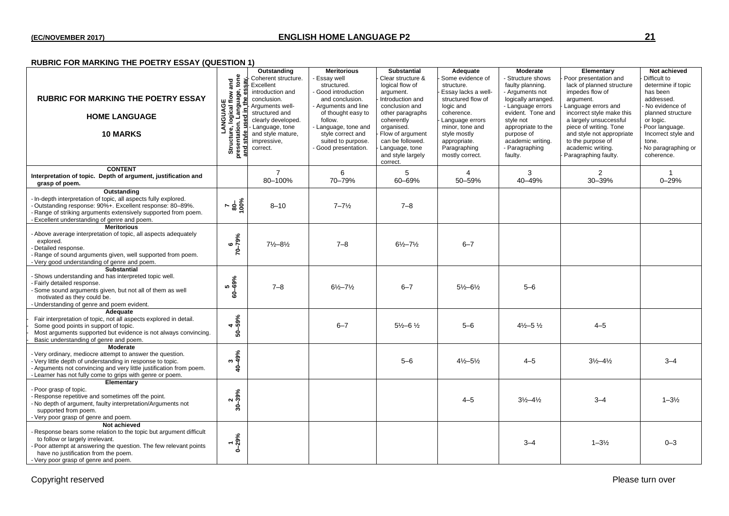#### **RUBRIC FOR MARKING THE POETRY ESSAY (QUESTION 1)**

| <b>RUBRIC FOR MARKING THE POETRY ESSAY</b><br><b>HOME LANGUAGE</b><br><b>10 MARKS</b>                                                                                                                                                                                          | tone<br>and<br>uage,<br>flow<br>LANGUAGE<br>Ire, logical f<br>logical 1<br>I Langu<br>ure, l<br>ation.<br>Structur<br>presentati | Outstanding<br>Coherent structure.<br>Excellent<br>introduction and<br>conclusion.<br>Arguments well-<br>structured and<br>clearly developed.<br>Language, tone<br>and style mature.<br>impressive,<br>correct. | <b>Meritorious</b><br>Essay well<br>structured.<br>Good introduction<br>and conclusion.<br>- Arguments and line<br>of thought easy to<br>follow.<br>- Language, tone and<br>style correct and<br>suited to purpose.<br>Good presentation. | <b>Substantial</b><br>Clear structure &<br>logical flow of<br>argument.<br>Introduction and<br>conclusion and<br>other paragraphs<br>coherently<br>organised.<br>Flow of argument<br>can be followed.<br>Language, tone<br>and style largely<br>correct. | Adequate<br>Some evidence of<br>structure.<br>Essay lacks a well-<br>structured flow of<br>logic and<br>coherence.<br>Language errors<br>minor, tone and<br>style mostly<br>appropriate.<br>Paragraphing<br>mostly correct. | Moderate<br>- Structure shows<br>faulty planning.<br>- Arguments not<br>logically arranged.<br>- Language errors<br>evident. Tone and<br>style not<br>appropriate to the<br>purpose of<br>academic writing.<br>- Paragraphing<br>faulty. | Elementary<br>Poor presentation and<br>lack of planned structure<br>impedes flow of<br>argument.<br>Language errors and<br>incorrect style make this<br>a largely unsuccessful<br>piece of writing. Tone<br>and style not appropriate<br>to the purpose of<br>academic writing.<br>Paragraphing faulty. | Not achieved<br>Difficult to<br>determine if topic<br>has been<br>addressed.<br>No evidence of<br>planned structure<br>or logic.<br>Poor language.<br>Incorrect style and<br>tone.<br>No paragraphing or<br>coherence. |
|--------------------------------------------------------------------------------------------------------------------------------------------------------------------------------------------------------------------------------------------------------------------------------|----------------------------------------------------------------------------------------------------------------------------------|-----------------------------------------------------------------------------------------------------------------------------------------------------------------------------------------------------------------|-------------------------------------------------------------------------------------------------------------------------------------------------------------------------------------------------------------------------------------------|----------------------------------------------------------------------------------------------------------------------------------------------------------------------------------------------------------------------------------------------------------|-----------------------------------------------------------------------------------------------------------------------------------------------------------------------------------------------------------------------------|------------------------------------------------------------------------------------------------------------------------------------------------------------------------------------------------------------------------------------------|---------------------------------------------------------------------------------------------------------------------------------------------------------------------------------------------------------------------------------------------------------------------------------------------------------|------------------------------------------------------------------------------------------------------------------------------------------------------------------------------------------------------------------------|
| <b>CONTENT</b><br>Interpretation of topic. Depth of argument, justification and<br>grasp of poem.                                                                                                                                                                              |                                                                                                                                  | $\overline{7}$<br>80-100%                                                                                                                                                                                       | 6<br>70-79%                                                                                                                                                                                                                               | 5<br>60-69%                                                                                                                                                                                                                                              | 4<br>50-59%                                                                                                                                                                                                                 | 3<br>40-49%                                                                                                                                                                                                                              | $\overline{2}$<br>30-39%                                                                                                                                                                                                                                                                                | $\mathbf{1}$<br>$0 - 29%$                                                                                                                                                                                              |
| Outstanding<br>- In-depth interpretation of topic, all aspects fully explored.<br>-Outstanding response: 90%+. Excellent response: 80-89%.<br>- Range of striking arguments extensively supported from poem.<br>- Excellent understanding of genre and poem.                   | $\frac{800}{6}$                                                                                                                  | $8 - 10$                                                                                                                                                                                                        | $7 - 7\frac{1}{2}$                                                                                                                                                                                                                        | $7 - 8$                                                                                                                                                                                                                                                  |                                                                                                                                                                                                                             |                                                                                                                                                                                                                                          |                                                                                                                                                                                                                                                                                                         |                                                                                                                                                                                                                        |
| <b>Meritorious</b><br>- Above average interpretation of topic, all aspects adequately<br>explored.<br>- Detailed response.<br>- Range of sound arguments given, well supported from poem.<br>- Very good understanding of genre and poem.                                      | $70 - 79%$                                                                                                                       | $7\frac{1}{2}-8\frac{1}{2}$                                                                                                                                                                                     | $7 - 8$                                                                                                                                                                                                                                   | $6\frac{1}{2} - 7\frac{1}{2}$                                                                                                                                                                                                                            | $6 - 7$                                                                                                                                                                                                                     |                                                                                                                                                                                                                                          |                                                                                                                                                                                                                                                                                                         |                                                                                                                                                                                                                        |
| <b>Substantial</b><br>- Shows understanding and has interpreted topic well.<br>- Fairly detailed response.<br>Some sound arguments given, but not all of them as well<br>motivated as they could be.<br>- Understanding of genre and poem evident.                             | 5<br>60–69%                                                                                                                      | $7 - 8$                                                                                                                                                                                                         | $6\frac{1}{2} - 7\frac{1}{2}$                                                                                                                                                                                                             | $6 - 7$                                                                                                                                                                                                                                                  | $5\frac{1}{2} - 6\frac{1}{2}$                                                                                                                                                                                               | $5 - 6$                                                                                                                                                                                                                                  |                                                                                                                                                                                                                                                                                                         |                                                                                                                                                                                                                        |
| Adequate<br>Fair interpretation of topic, not all aspects explored in detail.<br>Some good points in support of topic.<br>Most arguments supported but evidence is not always convincing.<br>Basic understanding of genre and poem.                                            | $\frac{4}{50-59\%}$                                                                                                              |                                                                                                                                                                                                                 | $6 - 7$                                                                                                                                                                                                                                   | $5\frac{1}{2} - 6\frac{1}{2}$                                                                                                                                                                                                                            | $5 - 6$                                                                                                                                                                                                                     | $4\frac{1}{2} - 5\frac{1}{2}$                                                                                                                                                                                                            | $4 - 5$                                                                                                                                                                                                                                                                                                 |                                                                                                                                                                                                                        |
| <b>Moderate</b><br>- Very ordinary, mediocre attempt to answer the question.<br>- Very little depth of understanding in response to topic.<br>- Arguments not convincing and very little justification from poem.<br>- Learner has not fully come to grips with genre or poem. | 3.9%<br>ទុ                                                                                                                       |                                                                                                                                                                                                                 |                                                                                                                                                                                                                                           | $5 - 6$                                                                                                                                                                                                                                                  | $4\frac{1}{2} - 5\frac{1}{2}$                                                                                                                                                                                               | $4 - 5$                                                                                                                                                                                                                                  | $3\frac{1}{2} - 4\frac{1}{2}$                                                                                                                                                                                                                                                                           | $3 - 4$                                                                                                                                                                                                                |
| Elementary<br>- Poor grasp of topic.<br>- Response repetitive and sometimes off the point.<br>- No depth of argument, faulty interpretation/Arguments not<br>supported from poem.<br>- Very poor grasp of genre and poem.                                                      | $30 - 39\%$                                                                                                                      |                                                                                                                                                                                                                 |                                                                                                                                                                                                                                           |                                                                                                                                                                                                                                                          | $4 - 5$                                                                                                                                                                                                                     | $3\frac{1}{2} - 4\frac{1}{2}$                                                                                                                                                                                                            | $3 - 4$                                                                                                                                                                                                                                                                                                 | $1 - 3\frac{1}{2}$                                                                                                                                                                                                     |
| Not achieved<br>- Response bears some relation to the topic but argument difficult<br>to follow or largely irrelevant.<br>- Poor attempt at answering the question. The few relevant points<br>have no justification from the poem.<br>- Very poor grasp of genre and poem.    | $-29%$                                                                                                                           |                                                                                                                                                                                                                 |                                                                                                                                                                                                                                           |                                                                                                                                                                                                                                                          |                                                                                                                                                                                                                             | $3 - 4$                                                                                                                                                                                                                                  | $1 - 3\frac{1}{2}$                                                                                                                                                                                                                                                                                      | $0 - 3$                                                                                                                                                                                                                |